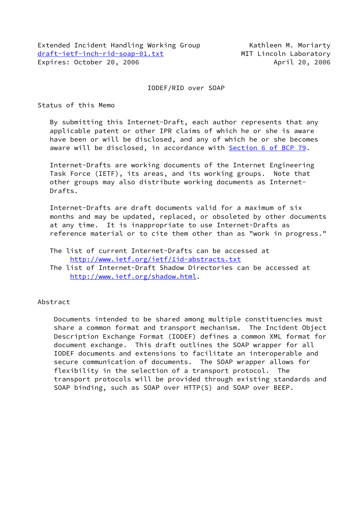# IODEF/RID over SOAP

Status of this Memo

 By submitting this Internet-Draft, each author represents that any applicable patent or other IPR claims of which he or she is aware have been or will be disclosed, and any of which he or she becomes aware will be disclosed, in accordance with Section [6 of BCP 79.](https://datatracker.ietf.org/doc/pdf/bcp79#section-6)

 Internet-Drafts are working documents of the Internet Engineering Task Force (IETF), its areas, and its working groups. Note that other groups may also distribute working documents as Internet- Drafts.

 Internet-Drafts are draft documents valid for a maximum of six months and may be updated, replaced, or obsoleted by other documents at any time. It is inappropriate to use Internet-Drafts as reference material or to cite them other than as "work in progress."

- The list of current Internet-Drafts can be accessed at <http://www.ietf.org/ietf/1id-abstracts.txt>
- The list of Internet-Draft Shadow Directories can be accessed at <http://www.ietf.org/shadow.html>.

# Abstract

 Documents intended to be shared among multiple constituencies must share a common format and transport mechanism. The Incident Object Description Exchange Format (IODEF) defines a common XML format for document exchange. This draft outlines the SOAP wrapper for all IODEF documents and extensions to facilitate an interoperable and secure communication of documents. The SOAP wrapper allows for flexibility in the selection of a transport protocol. The transport protocols will be provided through existing standards and SOAP binding, such as SOAP over HTTP(S) and SOAP over BEEP.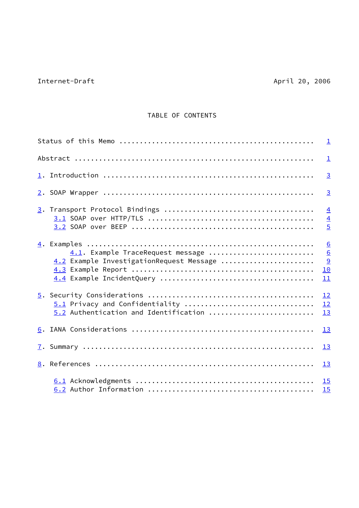# Internet-Draft April 20, 2006

# TABLE OF CONTENTS

|                                                                               | $\perp$                                            |
|-------------------------------------------------------------------------------|----------------------------------------------------|
|                                                                               | $\overline{1}$                                     |
|                                                                               | $\overline{3}$                                     |
|                                                                               | $\overline{3}$                                     |
|                                                                               | $\overline{4}$<br>$\overline{4}$<br>$\overline{5}$ |
| 4.1. Example TraceRequest message<br>4.2 Example InvestigationRequest Message | 6<br>$\underline{6}$<br>$\overline{9}$<br>10<br>11 |
| 5.1 Privacy and Confidentiality<br>5.2 Authentication and Identification      | 12<br>12<br>13                                     |
|                                                                               | 13                                                 |
|                                                                               | 13                                                 |
|                                                                               | 13                                                 |
|                                                                               | 15<br>15                                           |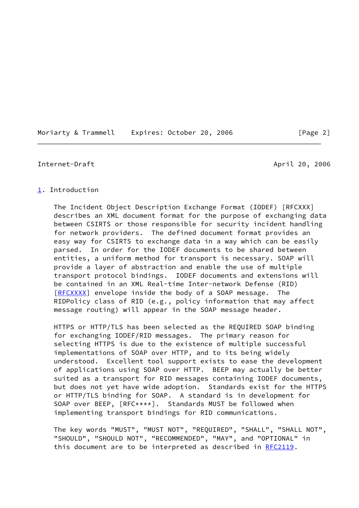#### Moriarty & Trammell Expires: October 20, 2006 [Page 2]

#### <span id="page-2-1"></span>Internet-Draft April 20, 2006

#### <span id="page-2-0"></span>[1](#page-2-0). Introduction

 The Incident Object Description Exchange Format (IODEF) [RFCXXX] describes an XML document format for the purpose of exchanging data between CSIRTS or those responsible for security incident handling for network providers. The defined document format provides an easy way for CSIRTS to exchange data in a way which can be easily parsed. In order for the IODEF documents to be shared between entities, a uniform method for transport is necessary. SOAP will provide a layer of abstraction and enable the use of multiple transport protocol bindings. IODEF documents and extensions will be contained in an XML Real-time Inter-network Defense (RID) [\[RFCXXXX](#page-15-1)] envelope inside the body of a SOAP message. The RIDPolicy class of RID (e.g., policy information that may affect message routing) will appear in the SOAP message header.

 HTTPS or HTTP/TLS has been selected as the REQUIRED SOAP binding for exchanging IODEF/RID messages. The primary reason for selecting HTTPS is due to the existence of multiple successful implementations of SOAP over HTTP, and to its being widely understood. Excellent tool support exists to ease the development of applications using SOAP over HTTP. BEEP may actually be better suited as a transport for RID messages containing IODEF documents, but does not yet have wide adoption. Standards exist for the HTTPS or HTTP/TLS binding for SOAP. A standard is in development for SOAP over BEEP, [RFC\*\*\*\*]. Standards MUST be followed when implementing transport bindings for RID communications.

 The key words "MUST", "MUST NOT", "REQUIRED", "SHALL", "SHALL NOT", "SHOULD", "SHOULD NOT", "RECOMMENDED", "MAY", and "OPTIONAL" in this document are to be interpreted as described in [RFC2119](https://datatracker.ietf.org/doc/pdf/rfc2119).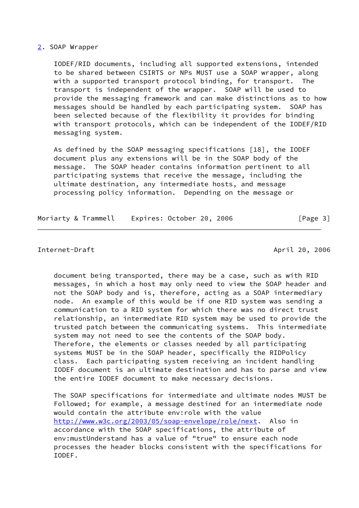#### <span id="page-3-0"></span>[2](#page-3-0). SOAP Wrapper

 IODEF/RID documents, including all supported extensions, intended to be shared between CSIRTS or NPs MUST use a SOAP wrapper, along with a supported transport protocol binding, for transport. The transport is independent of the wrapper. SOAP will be used to provide the messaging framework and can make distinctions as to how messages should be handled by each participating system. SOAP has been selected because of the flexibility it provides for binding with transport protocols, which can be independent of the IODEF/RID messaging system.

 As defined by the SOAP messaging specifications [18], the IODEF document plus any extensions will be in the SOAP body of the message. The SOAP header contains information pertinent to all participating systems that receive the message, including the ultimate destination, any intermediate hosts, and message processing policy information. Depending on the message or

Moriarty & Trammell Expires: October 20, 2006 [Page 3]

#### <span id="page-3-1"></span>Internet-Draft April 20, 2006

 document being transported, there may be a case, such as with RID messages, in which a host may only need to view the SOAP header and not the SOAP body and is, therefore, acting as a SOAP intermediary node. An example of this would be if one RID system was sending a communication to a RID system for which there was no direct trust relationship, an intermediate RID system may be used to provide the trusted patch between the communicating systems. This intermediate system may not need to see the contents of the SOAP body. Therefore, the elements or classes needed by all participating systems MUST be in the SOAP header, specifically the RIDPolicy class. Each participating system receiving an incident handling IODEF document is an ultimate destination and has to parse and view the entire IODEF document to make necessary decisions.

 The SOAP specifications for intermediate and ultimate nodes MUST be Followed; for example, a message destined for an intermediate node would contain the attribute env:role with the value [http://www.w3c.org/2003/05/soap-envelope/role/next.](http://www.w3c.org/2003/05/soap-envelope/role/next) Also in accordance with the SOAP specifications, the attribute of env:mustUnderstand has a value of "true" to ensure each node processes the header blocks consistent with the specifications for IODEF.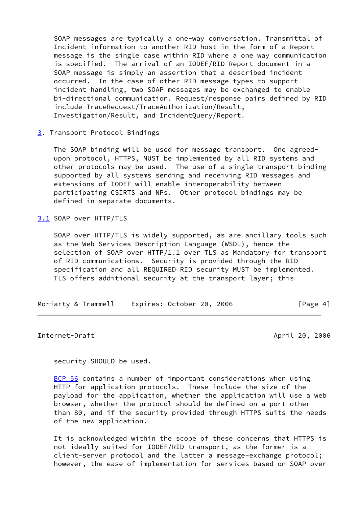SOAP messages are typically a one-way conversation. Transmittal of Incident information to another RID host in the form of a Report message is the single case within RID where a one way communication is specified. The arrival of an IODEF/RID Report document in a SOAP message is simply an assertion that a described incident occurred. In the case of other RID message types to support incident handling, two SOAP messages may be exchanged to enable bi-directional communication. Request/response pairs defined by RID include TraceRequest/TraceAuthorization/Result, Investigation/Result, and IncidentQuery/Report.

<span id="page-4-0"></span>[3](#page-4-0). Transport Protocol Bindings

 The SOAP binding will be used for message transport. One agreed upon protocol, HTTPS, MUST be implemented by all RID systems and other protocols may be used. The use of a single transport binding supported by all systems sending and receiving RID messages and extensions of IODEF will enable interoperability between participating CSIRTS and NPs. Other protocol bindings may be defined in separate documents.

<span id="page-4-1"></span>[3.1](#page-4-1) SOAP over HTTP/TLS

 SOAP over HTTP/TLS is widely supported, as are ancillary tools such as the Web Services Description Language (WSDL), hence the selection of SOAP over HTTP/1.1 over TLS as Mandatory for transport of RID communications. Security is provided through the RID specification and all REQUIRED RID security MUST be implemented. TLS offers additional security at the transport layer; this

| Moriarty & Trammell<br>Expires: October 20, 2006 | [Page 4] |
|--------------------------------------------------|----------|
|--------------------------------------------------|----------|

<span id="page-4-2"></span>Internet-Draft April 20, 2006

security SHOULD be used.

[BCP 56](https://datatracker.ietf.org/doc/pdf/bcp56) contains a number of important considerations when using HTTP for application protocols. These include the size of the payload for the application, whether the application will use a web browser, whether the protocol should be defined on a port other than 80, and if the security provided through HTTPS suits the needs of the new application.

 It is acknowledged within the scope of these concerns that HTTPS is not ideally suited for IODEF/RID transport, as the former is a client-server protocol and the latter a message-exchange protocol; however, the ease of implementation for services based on SOAP over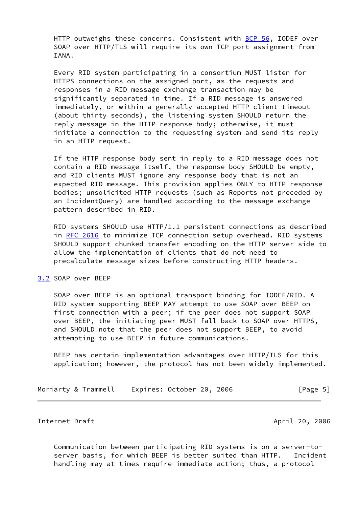HTTP outweighs these concerns. Consistent with [BCP 56](https://datatracker.ietf.org/doc/pdf/bcp56), IODEF over SOAP over HTTP/TLS will require its own TCP port assignment from IANA.

 Every RID system participating in a consortium MUST listen for HTTPS connections on the assigned port, as the requests and responses in a RID message exchange transaction may be significantly separated in time. If a RID message is answered immediately, or within a generally accepted HTTP client timeout (about thirty seconds), the listening system SHOULD return the reply message in the HTTP response body; otherwise, it must initiate a connection to the requesting system and send its reply in an HTTP request.

 If the HTTP response body sent in reply to a RID message does not contain a RID message itself, the response body SHOULD be empty, and RID clients MUST ignore any response body that is not an expected RID message. This provision applies ONLY to HTTP response bodies; unsolicited HTTP requests (such as Reports not preceded by an IncidentQuery) are handled according to the message exchange pattern described in RID.

 RID systems SHOULD use HTTP/1.1 persistent connections as described in [RFC 2616](https://datatracker.ietf.org/doc/pdf/rfc2616) to minimize TCP connection setup overhead. RID systems SHOULD support chunked transfer encoding on the HTTP server side to allow the implementation of clients that do not need to precalculate message sizes before constructing HTTP headers.

#### <span id="page-5-0"></span>[3.2](#page-5-0) SOAP over BEEP

 SOAP over BEEP is an optional transport binding for IODEF/RID. A RID system supporting BEEP MAY attempt to use SOAP over BEEP on first connection with a peer; if the peer does not support SOAP over BEEP, the initiating peer MUST fall back to SOAP over HTTPS, and SHOULD note that the peer does not support BEEP, to avoid attempting to use BEEP in future communications.

 BEEP has certain implementation advantages over HTTP/TLS for this application; however, the protocol has not been widely implemented.

Moriarty & Trammell Expires: October 20, 2006 [Page 5]

<span id="page-5-1"></span>Internet-Draft April 20, 2006

 Communication between participating RID systems is on a server-to server basis, for which BEEP is better suited than HTTP. Incident handling may at times require immediate action; thus, a protocol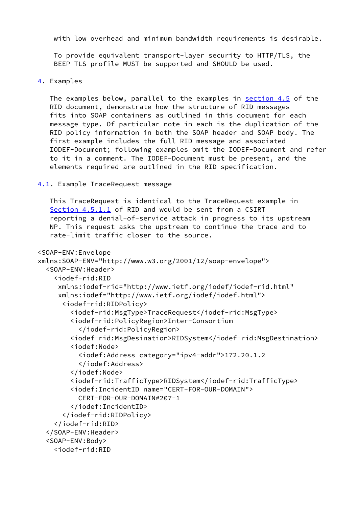with low overhead and minimum bandwidth requirements is desirable.

 To provide equivalent transport-layer security to HTTP/TLS, the BEEP TLS profile MUST be supported and SHOULD be used.

```
4. Examples
```
 The examples below, parallel to the examples in section 4.5 of the RID document, demonstrate how the structure of RID messages fits into SOAP containers as outlined in this document for each message type. Of particular note in each is the duplication of the RID policy information in both the SOAP header and SOAP body. The first example includes the full RID message and associated IODEF-Document; following examples omit the IODEF-Document and refer to it in a comment. The IODEF-Document must be present, and the elements required are outlined in the RID specification.

<span id="page-6-1"></span>[4.1](#page-6-1). Example TraceRequest message

 This TraceRequest is identical to the TraceRequest example in Section 4.5.1.1 of RID and would be sent from a CSIRT reporting a denial-of-service attack in progress to its upstream NP. This request asks the upstream to continue the trace and to rate-limit traffic closer to the source.

```
<SOAP-ENV:Envelope
xmlns:SOAP-ENV="http://www.w3.org/2001/12/soap-envelope">
   <SOAP-ENV:Header>
     <iodef-rid:RID
      xmlns:iodef-rid="http://www.ietf.org/iodef/iodef-rid.html"
      xmlns:iodef="http://www.ietf.org/iodef/iodef.html">
       <iodef-rid:RIDPolicy>
         <iodef-rid:MsgType>TraceRequest</iodef-rid:MsgType>
         <iodef-rid:PolicyRegion>Inter-Consortium
           </iodef-rid:PolicyRegion>
         <iodef-rid:MsgDesination>RIDSystem</iodef-rid:MsgDestination>
         <iodef:Node>
           <iodef:Address category="ipv4-addr">172.20.1.2
           </iodef:Address>
         </iodef:Node>
         <iodef-rid:TrafficType>RIDSystem</iodef-rid:TrafficType>
         <iodef:IncidentID name="CERT-FOR-OUR-DOMAIN">
           CERT-FOR-OUR-DOMAIN#207-1
         </iodef:IncidentID>
       </iodef-rid:RIDPolicy>
     </iodef-rid:RID>
   </SOAP-ENV:Header>
   <SOAP-ENV:Body>
     <iodef-rid:RID
```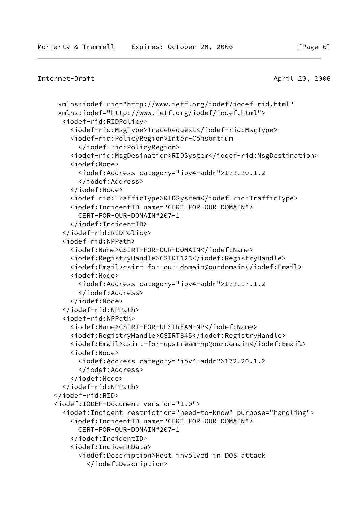```
Internet-Draft April 20, 2006
```

```
 xmlns:iodef-rid="http://www.ietf.org/iodef/iodef-rid.html"
 xmlns:iodef="http://www.ietf.org/iodef/iodef.html">
   <iodef-rid:RIDPolicy>
     <iodef-rid:MsgType>TraceRequest</iodef-rid:MsgType>
     <iodef-rid:PolicyRegion>Inter-Consortium
       </iodef-rid:PolicyRegion>
     <iodef-rid:MsgDesination>RIDSystem</iodef-rid:MsgDestination>
     <iodef:Node>
       <iodef:Address category="ipv4-addr">172.20.1.2
       </iodef:Address>
     </iodef:Node>
     <iodef-rid:TrafficType>RIDSystem</iodef-rid:TrafficType>
     <iodef:IncidentID name="CERT-FOR-OUR-DOMAIN">
       CERT-FOR-OUR-DOMAIN#207-1
     </iodef:IncidentID>
   </iodef-rid:RIDPolicy>
   <iodef-rid:NPPath>
     <iodef:Name>CSIRT-FOR-OUR-DOMAIN</iodef:Name>
     <iodef:RegistryHandle>CSIRT123</iodef:RegistryHandle>
     <iodef:Email>csirt-for-our-domain@ourdomain</iodef:Email>
     <iodef:Node>
       <iodef:Address category="ipv4-addr">172.17.1.2
       </iodef:Address>
     </iodef:Node>
   </iodef-rid:NPPath>
   <iodef-rid:NPPath>
     <iodef:Name>CSIRT-FOR-UPSTREAM-NP</iodef:Name>
     <iodef:RegistryHandle>CSIRT345</iodef:RegistryHandle>
     <iodef:Email>csirt-for-upstream-np@ourdomain</iodef:Email>
     <iodef:Node>
       <iodef:Address category="ipv4-addr">172.20.1.2
       </iodef:Address>
     </iodef:Node>
   </iodef-rid:NPPath>
 </iodef-rid:RID>
 <iodef:IODEF-Document version="1.0">
   <iodef:Incident restriction="need-to-know" purpose="handling">
     <iodef:IncidentID name="CERT-FOR-OUR-DOMAIN">
       CERT-FOR-OUR-DOMAIN#207-1
     </iodef:IncidentID>
     <iodef:IncidentData>
       <iodef:Description>Host involved in DOS attack
         </iodef:Description>
```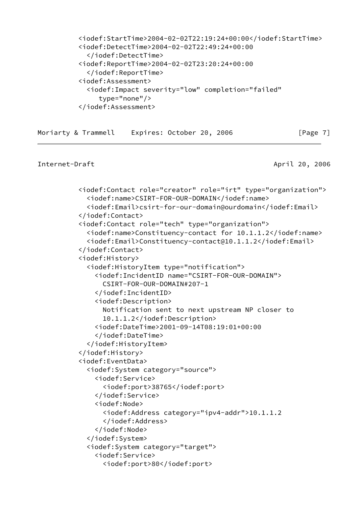```
 <iodef:StartTime>2004-02-02T22:19:24+00:00</iodef:StartTime>
 <iodef:DetectTime>2004-02-02T22:49:24+00:00
   </iodef:DetectTime>
 <iodef:ReportTime>2004-02-02T23:20:24+00:00
   </iodef:ReportTime>
 <iodef:Assessment>
   <iodef:Impact severity="low" completion="failed"
      type="none"/>
 </iodef:Assessment>
```

```
Moriarty & Trammell Expires: October 20, 2006 [Page 7]
```

```
Internet-Draft April 20, 2006
```

```
 <iodef:Contact role="creator" role="irt" type="organization">
   <iodef:name>CSIRT-FOR-OUR-DOMAIN</iodef:name>
   <iodef:Email>csirt-for-our-domain@ourdomain</iodef:Email>
 </iodef:Contact>
 <iodef:Contact role="tech" type="organization">
   <iodef:name>Constituency-contact for 10.1.1.2</iodef:name>
   <iodef:Email>Constituency-contact@10.1.1.2</iodef:Email>
 </iodef:Contact>
 <iodef:History>
   <iodef:HistoryItem type="notification">
     <iodef:IncidentID name="CSIRT-FOR-OUR-DOMAIN">
       CSIRT-FOR-OUR-DOMAIN#207-1
     </iodef:IncidentID>
     <iodef:Description>
       Notification sent to next upstream NP closer to
       10.1.1.2</iodef:Description>
     <iodef:DateTime>2001-09-14T08:19:01+00:00
     </iodef:DateTime>
   </iodef:HistoryItem>
 </iodef:History>
 <iodef:EventData>
   <iodef:System category="source">
     <iodef:Service>
       <iodef:port>38765</iodef:port>
     </iodef:Service>
     <iodef:Node>
       <iodef:Address category="ipv4-addr">10.1.1.2
       </iodef:Address>
     </iodef:Node>
   </iodef:System>
   <iodef:System category="target">
     <iodef:Service>
       <iodef:port>80</iodef:port>
```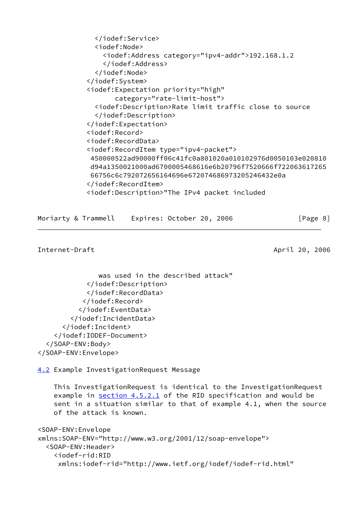```
 </iodef:Service>
   <iodef:Node>
     <iodef:Address category="ipv4-addr">192.168.1.2
     </iodef:Address>
   </iodef:Node>
 </iodef:System>
 <iodef:Expectation priority="high"
        category="rate-limit-host">
   <iodef:Description>Rate limit traffic close to source
   </iodef:Description>
 </iodef:Expectation>
 <iodef:Record>
 <iodef:RecordData>
 <iodef:RecordItem type="ipv4-packet">
 450000522ad90000ff06c41fc0a801020a010102976d0050103e020810
 d94a1350021000ad6700005468616e6b20796f7520666f722063617265
 66756c6c792072656164696e672074686973205246432e0a
 </iodef:RecordItem>
 <iodef:Description>"The IPv4 packet included
```

```
Moriarty & Trammell Expires: October 20, 2006 [Page 8]
```

```
Internet-Draft April 20, 2006
```

```
 was used in the described attack"
             </iodef:Description>
             </iodef:RecordData>
            </iodef:Record>
           </iodef:EventData>
         </iodef:IncidentData>
       </iodef:Incident>
     </iodef:IODEF-Document>
   </SOAP-ENV:Body>
</SOAP-ENV:Envelope>
```
<span id="page-9-0"></span>[4.2](#page-9-0) Example InvestigationRequest Message

 This InvestigationRequest is identical to the InvestigationRequest example in section 4.5.2.1 of the RID specification and would be sent in a situation similar to that of example 4.1, when the source of the attack is known.

```
<SOAP-ENV:Envelope
xmlns:SOAP-ENV="http://www.w3.org/2001/12/soap-envelope">
   <SOAP-ENV:Header>
     <iodef-rid:RID
      xmlns:iodef-rid="http://www.ietf.org/iodef/iodef-rid.html"
```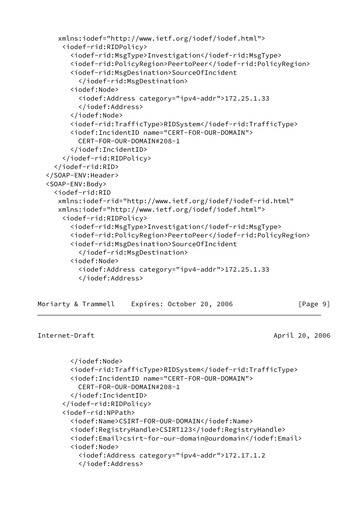```
 xmlns:iodef="http://www.ietf.org/iodef/iodef.html">
     <iodef-rid:RIDPolicy>
       <iodef-rid:MsgType>Investigation</iodef-rid:MsgType>
       <iodef-rid:PolicyRegion>PeertoPeer</iodef-rid:PolicyRegion>
       <iodef-rid:MsgDesination>SourceOfIncident
         </iodef-rid:MsgDestination>
       <iodef:Node>
         <iodef:Address category="ipv4-addr">172.25.1.33
         </iodef:Address>
       </iodef:Node>
       <iodef-rid:TrafficType>RIDSystem</iodef-rid:TrafficType>
       <iodef:IncidentID name="CERT-FOR-OUR-DOMAIN">
         CERT-FOR-OUR-DOMAIN#208-1
       </iodef:IncidentID>
     </iodef-rid:RIDPolicy>
   </iodef-rid:RID>
 </SOAP-ENV:Header>
 <SOAP-ENV:Body>
   <iodef-rid:RID
    xmlns:iodef-rid="http://www.ietf.org/iodef/iodef-rid.html"
    xmlns:iodef="http://www.ietf.org/iodef/iodef.html">
     <iodef-rid:RIDPolicy>
       <iodef-rid:MsgType>Investigation</iodef-rid:MsgType>
       <iodef-rid:PolicyRegion>PeertoPeer</iodef-rid:PolicyRegion>
       <iodef-rid:MsgDesination>SourceOfIncident
         </iodef-rid:MsgDestination>
       <iodef:Node>
         <iodef:Address category="ipv4-addr">172.25.1.33
         </iodef:Address>
```

| Moriarty & Trammell | Expires: October 20, 2006 | [Page 9] |
|---------------------|---------------------------|----------|
|---------------------|---------------------------|----------|

```
Internet-Draft April 20, 2006
```

```
 </iodef:Node>
   <iodef-rid:TrafficType>RIDSystem</iodef-rid:TrafficType>
   <iodef:IncidentID name="CERT-FOR-OUR-DOMAIN">
     CERT-FOR-OUR-DOMAIN#208-1
   </iodef:IncidentID>
 </iodef-rid:RIDPolicy>
 <iodef-rid:NPPath>
   <iodef:Name>CSIRT-FOR-OUR-DOMAIN</iodef:Name>
   <iodef:RegistryHandle>CSIRT123</iodef:RegistryHandle>
   <iodef:Email>csirt-for-our-domain@ourdomain</iodef:Email>
   <iodef:Node>
     <iodef:Address category="ipv4-addr">172.17.1.2
     </iodef:Address>
```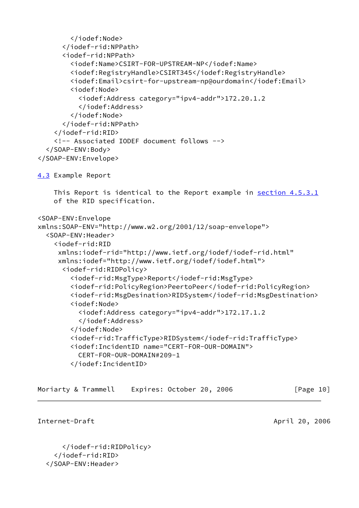```
 </iodef:Node>
       </iodef-rid:NPPath>
       <iodef-rid:NPPath>
         <iodef:Name>CSIRT-FOR-UPSTREAM-NP</iodef:Name>
         <iodef:RegistryHandle>CSIRT345</iodef:RegistryHandle>
         <iodef:Email>csirt-for-upstream-np@ourdomain</iodef:Email>
         <iodef:Node>
           <iodef:Address category="ipv4-addr">172.20.1.2
           </iodef:Address>
         </iodef:Node>
       </iodef-rid:NPPath>
     </iodef-rid:RID>
     <!-- Associated IODEF document follows -->
   </SOAP-ENV:Body>
</SOAP-ENV:Envelope>
4.3 Example Report
     This Report is identical to the Report example in section 4.5.3.1
     of the RID specification.
<SOAP-ENV:Envelope
xmlns:SOAP-ENV="http://www.w2.org/2001/12/soap-envelope">
   <SOAP-ENV:Header>
     <iodef-rid:RID
      xmlns:iodef-rid="http://www.ietf.org/iodef/iodef-rid.html"
      xmlns:iodef="http://www.ietf.org/iodef/iodef.html">
       <iodef-rid:RIDPolicy>
         <iodef-rid:MsgType>Report</iodef-rid:MsgType>
         <iodef-rid:PolicyRegion>PeertoPeer</iodef-rid:PolicyRegion>
         <iodef-rid:MsgDesination>RIDSystem</iodef-rid:MsgDestination>
         <iodef:Node>
           <iodef:Address category="ipv4-addr">172.17.1.2
           </iodef:Address>
         </iodef:Node>
         <iodef-rid:TrafficType>RIDSystem</iodef-rid:TrafficType>
         <iodef:IncidentID name="CERT-FOR-OUR-DOMAIN">
           CERT-FOR-OUR-DOMAIN#209-1
         </iodef:IncidentID>
```

| Moriarty & Trammell<br>Expires: October 20, 2006 | [Page 10] |  |  |
|--------------------------------------------------|-----------|--|--|
|--------------------------------------------------|-----------|--|--|

<span id="page-11-1"></span>Internet-Draft April 20, 2006

```
 </iodef-rid:RIDPolicy>
```

```
 </iodef-rid:RID>
```

```
 </SOAP-ENV:Header>
```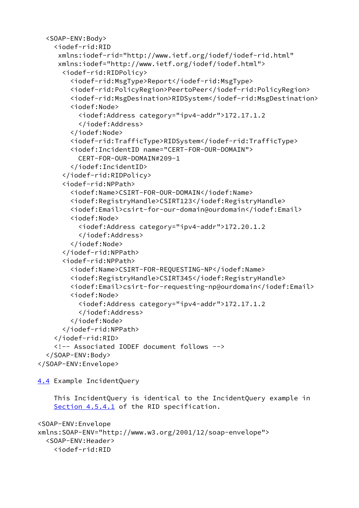```
 <SOAP-ENV:Body>
     <iodef-rid:RID
      xmlns:iodef-rid="http://www.ietf.org/iodef/iodef-rid.html"
      xmlns:iodef="http://www.ietf.org/iodef/iodef.html">
       <iodef-rid:RIDPolicy>
         <iodef-rid:MsgType>Report</iodef-rid:MsgType>
         <iodef-rid:PolicyRegion>PeertoPeer</iodef-rid:PolicyRegion>
         <iodef-rid:MsgDesination>RIDSystem</iodef-rid:MsgDestination>
         <iodef:Node>
           <iodef:Address category="ipv4-addr">172.17.1.2
           </iodef:Address>
         </iodef:Node>
         <iodef-rid:TrafficType>RIDSystem</iodef-rid:TrafficType>
         <iodef:IncidentID name="CERT-FOR-OUR-DOMAIN">
           CERT-FOR-OUR-DOMAIN#209-1
         </iodef:IncidentID>
       </iodef-rid:RIDPolicy>
       <iodef-rid:NPPath>
         <iodef:Name>CSIRT-FOR-OUR-DOMAIN</iodef:Name>
         <iodef:RegistryHandle>CSIRT123</iodef:RegistryHandle>
         <iodef:Email>csirt-for-our-domain@ourdomain</iodef:Email>
         <iodef:Node>
           <iodef:Address category="ipv4-addr">172.20.1.2
           </iodef:Address>
         </iodef:Node>
       </iodef-rid:NPPath>
       <iodef-rid:NPPath>
         <iodef:Name>CSIRT-FOR-REQUESTING-NP</iodef:Name>
         <iodef:RegistryHandle>CSIRT345</iodef:RegistryHandle>
         <iodef:Email>csirt-for-requesting-np@ourdomain</iodef:Email>
         <iodef:Node>
           <iodef:Address category="ipv4-addr">172.17.1.2
           </iodef:Address>
         </iodef:Node>
       </iodef-rid:NPPath>
     </iodef-rid:RID>
     <!-- Associated IODEF document follows -->
   </SOAP-ENV:Body>
</SOAP-ENV:Envelope>
```
<span id="page-12-0"></span>[4.4](#page-12-0) Example IncidentQuery

 This IncidentQuery is identical to the IncidentQuery example in Section 4.5.4.1 of the RID specification.

```
<SOAP-ENV:Envelope
xmlns:SOAP-ENV="http://www.w3.org/2001/12/soap-envelope">
   <SOAP-ENV:Header>
     <iodef-rid:RID
```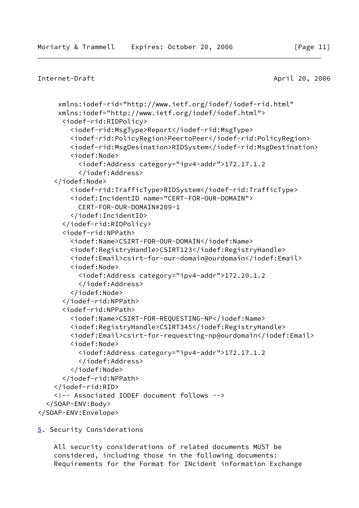# <span id="page-13-1"></span>Internet-Draft April 20, 2006

```
 xmlns:iodef-rid="http://www.ietf.org/iodef/iodef-rid.html"
      xmlns:iodef="http://www.ietf.org/iodef/iodef.html">
       <iodef-rid:RIDPolicy>
         <iodef-rid:MsgType>Report</iodef-rid:MsgType>
         <iodef-rid:PolicyRegion>PeertoPeer</iodef-rid:PolicyRegion>
         <iodef-rid:MsgDesination>RIDSystem</iodef-rid:MsgDestination>
         <iodef:Node>
           <iodef:Address category="ipv4-addr">172.17.1.2
           </iodef:Address>
     </iodef:Node>
         <iodef-rid:TrafficType>RIDSystem</iodef-rid:TrafficType>
         <iodef:IncidentID name="CERT-FOR-OUR-DOMAIN">
           CERT-FOR-OUR-DOMAIN#209-1
         </iodef:IncidentID>
       </iodef-rid:RIDPolicy>
       <iodef-rid:NPPath>
         <iodef:Name>CSIRT-FOR-OUR-DOMAIN</iodef:Name>
         <iodef:RegistryHandle>CSIRT123</iodef:RegistryHandle>
         <iodef:Email>csirt-for-our-domain@ourdomain</iodef:Email>
         <iodef:Node>
           <iodef:Address category="ipv4-addr">172.20.1.2
           </iodef:Address>
         </iodef:Node>
       </iodef-rid:NPPath>
       <iodef-rid:NPPath>
         <iodef:Name>CSIRT-FOR-REQUESTING-NP</iodef:Name>
         <iodef:RegistryHandle>CSIRT345</iodef:RegistryHandle>
         <iodef:Email>csirt-for-requesting-np@ourdomain</iodef:Email>
         <iodef:Node>
           <iodef:Address category="ipv4-addr">172.17.1.2
           </iodef:Address>
         </iodef:Node>
       </iodef-rid:NPPath>
     </iodef-rid:RID>
     <!-- Associated IODEF document follows -->
   </SOAP-ENV:Body>
</SOAP-ENV:Envelope>
```
# <span id="page-13-0"></span>[5](#page-13-0). Security Considerations

 All security considerations of related documents MUST be considered, including those in the following documents: Requirements for the Format for INcident information Exchange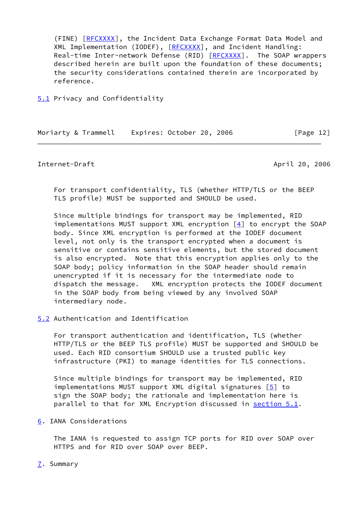(FINE) [\[RFCXXXX](#page-15-1)], the Incident Data Exchange Format Data Model and XML Implementation (IODEF), [\[RFCXXXX](#page-15-1)], and Incident Handling: Real-time Inter-network Defense (RID) [\[RFCXXXX](#page-15-1)]. The SOAP wrappers described herein are built upon the foundation of these documents; the security considerations contained therein are incorporated by reference.

<span id="page-14-0"></span>[5.1](#page-14-0) Privacy and Confidentiality

Moriarty & Trammell Expires: October 20, 2006 [Page 12]

<span id="page-14-2"></span>

Internet-Draft April 20, 2006

 For transport confidentiality, TLS (whether HTTP/TLS or the BEEP TLS profile) MUST be supported and SHOULD be used.

 Since multiple bindings for transport may be implemented, RID implementations MUST support XML encryption  $[4]$  to encrypt the SOAP body. Since XML encryption is performed at the IODEF document level, not only is the transport encrypted when a document is sensitive or contains sensitive elements, but the stored document is also encrypted. Note that this encryption applies only to the SOAP body; policy information in the SOAP header should remain unencrypted if it is necessary for the intermediate node to dispatch the message. XML encryption protects the IODEF document in the SOAP body from being viewed by any involved SOAP intermediary node.

<span id="page-14-1"></span>[5.2](#page-14-1) Authentication and Identification

 For transport authentication and identification, TLS (whether HTTP/TLS or the BEEP TLS profile) MUST be supported and SHOULD be used. Each RID consortium SHOULD use a trusted public key infrastructure (PKI) to manage identities for TLS connections.

 Since multiple bindings for transport may be implemented, RID implementations MUST support XML digital signatures  $[5]$  to sign the SOAP body; the rationale and implementation here is parallel to that for XML Encryption discussed in [section 5.1](#page-14-0).

<span id="page-14-3"></span>[6](#page-14-3). IANA Considerations

 The IANA is requested to assign TCP ports for RID over SOAP over HTTPS and for RID over SOAP over BEEP.

<span id="page-14-4"></span>[7](#page-14-4). Summary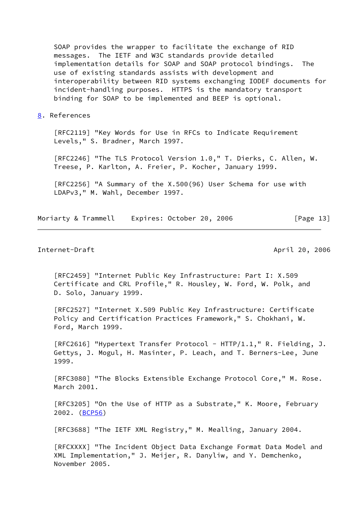SOAP provides the wrapper to facilitate the exchange of RID messages. The IETF and W3C standards provide detailed implementation details for SOAP and SOAP protocol bindings. The use of existing standards assists with development and interoperability between RID systems exchanging IODEF documents for incident-handling purposes. HTTPS is the mandatory transport binding for SOAP to be implemented and BEEP is optional.

<span id="page-15-0"></span>[8](#page-15-0). References

 [RFC2119] "Key Words for Use in RFCs to Indicate Requirement Levels," S. Bradner, March 1997.

 [RFC2246] "The TLS Protocol Version 1.0," T. Dierks, C. Allen, W. Treese, P. Karlton, A. Freier, P. Kocher, January 1999.

 [RFC2256] "A Summary of the X.500(96) User Schema for use with LDAPv3," M. Wahl, December 1997.

Moriarty & Trammell Expires: October 20, 2006 [Page 13]

# Internet-Draft April 20, 2006

 [RFC2459] "Internet Public Key Infrastructure: Part I: X.509 Certificate and CRL Profile," R. Housley, W. Ford, W. Polk, and D. Solo, January 1999.

 [RFC2527] "Internet X.509 Public Key Infrastructure: Certificate Policy and Certification Practices Framework," S. Chokhani, W. Ford, March 1999.

[RFC2616] "Hypertext Transfer Protocol - HTTP/1.1," R. Fielding, J. Gettys, J. Mogul, H. Masinter, P. Leach, and T. Berners-Lee, June 1999.

 [RFC3080] "The Blocks Extensible Exchange Protocol Core," M. Rose. March 2001.

 [RFC3205] "On the Use of HTTP as a Substrate," K. Moore, February 2002. [\(BCP56](https://datatracker.ietf.org/doc/pdf/bcp56))

[RFC3688] "The IETF XML Registry," M. Mealling, January 2004.

<span id="page-15-1"></span> [RFCXXXX] "The Incident Object Data Exchange Format Data Model and XML Implementation," J. Meijer, R. Danyliw, and Y. Demchenko, November 2005.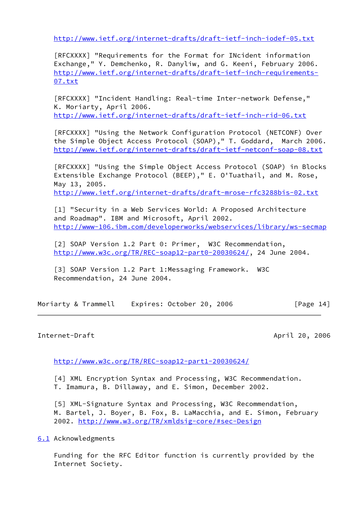<http://www.ietf.org/internet-drafts/draft-ietf-inch-iodef-05.txt>

 [RFCXXXX] "Requirements for the Format for INcident information Exchange," Y. Demchenko, R. Danyliw, and G. Keeni, February 2006. [http://www.ietf.org/internet-drafts/draft-ietf-inch-requirements-](http://www.ietf.org/internet-drafts/draft-ietf-inch-requirements-07.txt) [07.txt](http://www.ietf.org/internet-drafts/draft-ietf-inch-requirements-07.txt)

 [RFCXXXX] "Incident Handling: Real-time Inter-network Defense," K. Moriarty, April 2006. <http://www.ietf.org/internet-drafts/draft-ietf-inch-rid-06.txt>

 [RFCXXXX] "Using the Network Configuration Protocol (NETCONF) Over the Simple Object Access Protocol (SOAP)," T. Goddard, March 2006. <http://www.ietf.org/internet-drafts/draft-ietf-netconf-soap-08.txt>

 [RFCXXXX] "Using the Simple Object Access Protocol (SOAP) in Blocks Extensible Exchange Protocol (BEEP)," E. O'Tuathail, and M. Rose, May 13, 2005. <http://www.ietf.org/internet-drafts/draft-mrose-rfc3288bis-02.txt>

 [1] "Security in a Web Services World: A Proposed Architecture and Roadmap". IBM and Microsoft, April 2002. <http://www-106.ibm.com/developerworks/webservices/library/ws-secmap>

 [2] SOAP Version 1.2 Part 0: Primer, W3C Recommendation, <http://www.w3c.org/TR/REC-soap12-part0-20030624/>, 24 June 2004.

 [3] SOAP Version 1.2 Part 1:Messaging Framework. W3C Recommendation, 24 June 2004.

| Moriarty & Trammell |  | Expires: October 20, 2006 | [Page 14] |
|---------------------|--|---------------------------|-----------|
|---------------------|--|---------------------------|-----------|

# <span id="page-16-1"></span>Internet-Draft April 20, 2006

<http://www.w3c.org/TR/REC-soap12-part1-20030624/>

<span id="page-16-2"></span> [4] XML Encryption Syntax and Processing, W3C Recommendation. T. Imamura, B. Dillaway, and E. Simon, December 2002.

<span id="page-16-3"></span> [5] XML-Signature Syntax and Processing, W3C Recommendation, M. Bartel, J. Boyer, B. Fox, B. LaMacchia, and E. Simon, February 2002. <http://www.w3.org/TR/xmldsig-core/#sec-Design>

<span id="page-16-0"></span>[6.1](#page-16-0) Acknowledgments

 Funding for the RFC Editor function is currently provided by the Internet Society.